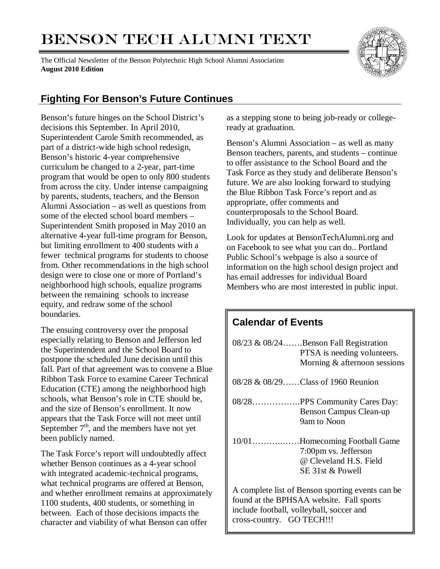# BENSON TECH ALUMNI TEXT

The Official Newsletter of the Benson Polytechnic High School Alumni Association **August 2010 Edition**



### **Fighting For Benson's Future Continues**

Benson's future hinges on the School District's decisions this September. In April 2010, Superintendent Carole Smith recommended, as part of a district-wide high school redesign, Benson's historic 4-year comprehensive curriculum be changed to a 2-year, part-time program that would be open to only 800 students from across the city. Under intense campaigning by parents, students, teachers, and the Benson Alumni Association – as well as questions from some of the elected school board members – Superintendent Smith proposed in May 2010 an alternative 4-year full-time program for Benson, but limiting enrollment to 400 students with a fewer technical programs for students to choose from. Other recommendations in the high school design were to close one or more of Portland's neighborhood high schools, equalize programs between the remaining schools to increase equity, and redraw some of the school boundaries.

The ensuing controversy over the proposal especially relating to Benson and Jefferson led the Superintendent and the School Board to postpone the scheduled June decision until this fall. Part of that agreement was to convene a Blue Ribbon Task Force to examine Career Technical Education (CTE) among the neighborhood high schools, what Benson's role in CTE should be, and the size of Benson's enrollment. It now appears that the Task Force will not meet until September  $7<sup>th</sup>$ , and the members have not yet been publicly named.

The Task Force's report will undoubtedly affect whether Benson continues as a 4-year school with integrated academic-technical programs, what technical programs are offered at Benson, and whether enrollment remains at approximately 1100 students, 400 students, or something in between. Each of those decisions impacts the character and viability of what Benson can offer

as a stepping stone to being job-ready or collegeready at graduation.

Benson's Alumni Association – as well as many Benson teachers, parents, and students – continue to offer assistance to the School Board and the Task Force as they study and deliberate Benson's future. We are also looking forward to studying the Blue Ribbon Task Force's report and as appropriate, offer comments and counterproposals to the School Board. Individually, you can help as well.

Look for updates at BensonTechAlumni.org and on Facebook to see what you can do.. Portland Public School's webpage is also a source of information on the high school design project and has email addresses for individual Board Members who are most interested in public input.

## **Calendar of Events**

| 08/23 & 08/24Benson Fall Registration<br>PTSA is needing volunteers.<br>Morning & afternoon sessions                                                                    |
|-------------------------------------------------------------------------------------------------------------------------------------------------------------------------|
| 08/28 & 08/29Class of 1960 Reunion                                                                                                                                      |
| 08/28PPS Community Cares Day:<br>Benson Campus Clean-up<br>9am to Noon                                                                                                  |
| 10/01Homecoming Football Game<br>7:00pm vs. Jefferson<br>@ Cleveland H.S. Field<br>SE 31st & Powell                                                                     |
| A complete list of Benson sporting events can be.<br>found at the BPHSAA website. Fall sports<br>include football, volleyball, soccer and<br>cross-country. GO TECH !!! |